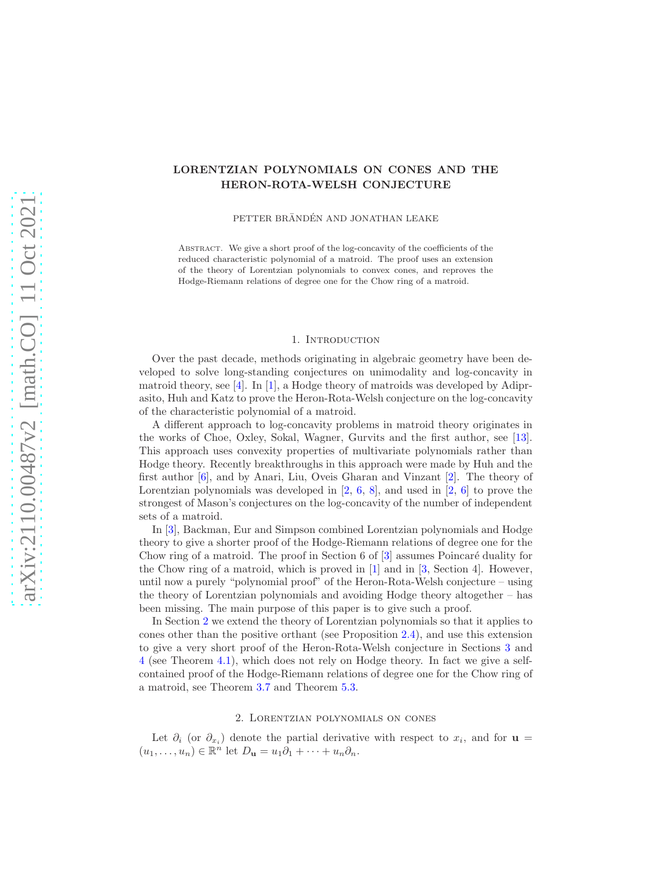# LORENTZIAN POLYNOMIALS ON CONES AND THE HERON-ROTA-WELSH CONJECTURE

PETTER BRÄNDÉN AND JONATHAN LEAKE

Abstract. We give a short proof of the log-concavity of the coefficients of the reduced characteristic polynomial of a matroid. The proof uses an extension of the theory of Lorentzian polynomials to convex cones, and reproves the Hodge-Riemann relations of degree one for the Chow ring of a matroid.

#### 1. INTRODUCTION

Over the past decade, methods originating in algebraic geometry have been developed to solve long-standing conjectures on unimodality and log-concavity in matroid theory, see [\[4\]](#page-9-0). In [\[1\]](#page-9-1), a Hodge theory of matroids was developed by Adiprasito, Huh and Katz to prove the Heron-Rota-Welsh conjecture on the log-concavity of the characteristic polynomial of a matroid.

A different approach to log-concavity problems in matroid theory originates in the works of Choe, Oxley, Sokal, Wagner, Gurvits and the first author, see [\[13\]](#page-10-0). This approach uses convexity properties of multivariate polynomials rather than Hodge theory. Recently breakthroughs in this approach were made by Huh and the first author [\[6\]](#page-9-2), and by Anari, Liu, Oveis Gharan and Vinzant [\[2\]](#page-9-3). The theory of Lorentzian polynomials was developed in  $[2, 6, 8]$  $[2, 6, 8]$  $[2, 6, 8]$  $[2, 6, 8]$ , and used in  $[2, 6]$  $[2, 6]$  to prove the strongest of Mason's conjectures on the log-concavity of the number of independent sets of a matroid.

In [\[3\]](#page-9-5), Backman, Eur and Simpson combined Lorentzian polynomials and Hodge theory to give a shorter proof of the Hodge-Riemann relations of degree one for the Chow ring of a matroid. The proof in Section 6 of [\[3\]](#page-9-5) assumes Poincaré duality for the Chow ring of a matroid, which is proved in [\[1\]](#page-9-1) and in [\[3,](#page-9-5) Section 4]. However, until now a purely "polynomial proof" of the Heron-Rota-Welsh conjecture – using the theory of Lorentzian polynomials and avoiding Hodge theory altogether – has been missing. The main purpose of this paper is to give such a proof.

In Section [2](#page-0-0) we extend the theory of Lorentzian polynomials so that it applies to cones other than the positive orthant (see Proposition [2.4\)](#page-2-0), and use this extension to give a very short proof of the Heron-Rota-Welsh conjecture in Sections [3](#page-2-1) and [4](#page-6-0) (see Theorem [4.1\)](#page-6-1), which does not rely on Hodge theory. In fact we give a selfcontained proof of the Hodge-Riemann relations of degree one for the Chow ring of a matroid, see Theorem [3.7](#page-5-0) and Theorem [5.3.](#page-9-6)

# 2. Lorentzian polynomials on cones

<span id="page-0-0"></span>Let  $\partial_i$  (or  $\partial_{x_i}$ ) denote the partial derivative with respect to  $x_i$ , and for  $\mathbf{u} =$  $(u_1, \ldots, u_n) \in \mathbb{R}^n$  let  $D_{\mathbf{u}} = u_1 \partial_1 + \cdots + u_n \partial_n$ .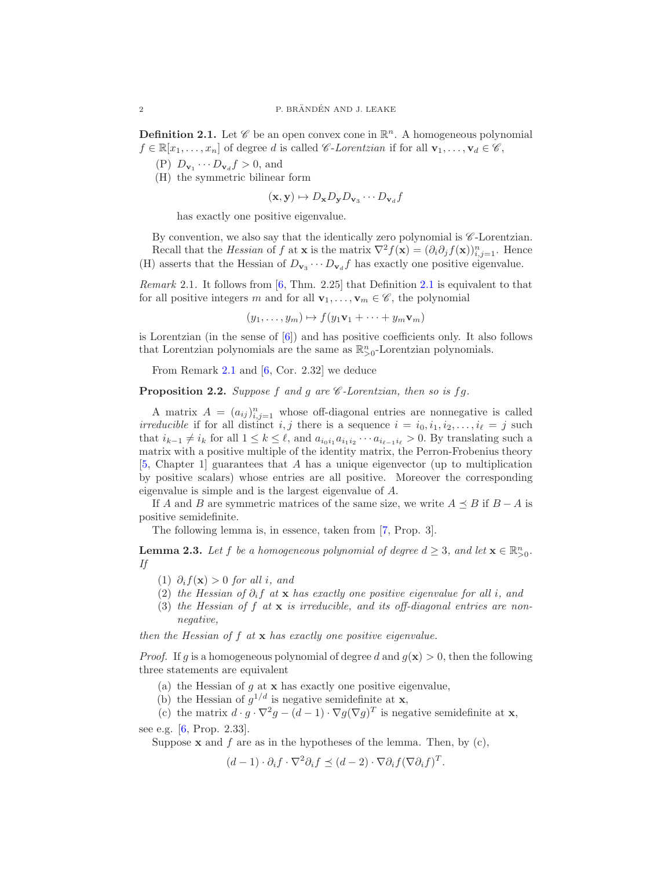<span id="page-1-0"></span>**Definition 2.1.** Let  $\mathscr C$  be an open convex cone in  $\mathbb R^n$ . A homogeneous polynomial  $f \in \mathbb{R}[x_1,\ldots,x_n]$  of degree d is called *C-Lorentzian* if for all  $\mathbf{v}_1,\ldots,\mathbf{v}_d \in \mathscr{C}$ ,

- (P)  $D_{\mathbf{v}_1} \cdots D_{\mathbf{v}_d} f > 0$ , and
- (H) the symmetric bilinear form

$$
(\mathbf{x}, \mathbf{y}) \mapsto D_{\mathbf{x}} D_{\mathbf{y}} D_{\mathbf{v}_3} \cdots D_{\mathbf{v}_d} f
$$

has exactly one positive eigenvalue.

By convention, we also say that the identically zero polynomial is  $\mathscr{C}\text{-Lorentzian}$ . Recall that the *Hessian* of f at **x** is the matrix  $\nabla^2 f(\mathbf{x}) = (\partial_i \partial_j f(\mathbf{x}))_{i,j=1}^n$ . Hence (H) asserts that the Hessian of  $D_{\mathbf{v}_3} \cdots D_{\mathbf{v}_d} f$  has exactly one positive eigenvalue.

<span id="page-1-1"></span>Remark 2.1. It follows from [\[6,](#page-9-2) Thm. 2.25] that Definition [2.1](#page-1-0) is equivalent to that for all positive integers m and for all  $\mathbf{v}_1, \ldots, \mathbf{v}_m \in \mathscr{C}$ , the polynomial

 $(y_1, \ldots, y_m) \mapsto f(y_1\mathbf{v}_1 + \cdots + y_m\mathbf{v}_m)$ 

is Lorentzian (in the sense of [\[6\]](#page-9-2)) and has positive coefficients only. It also follows that Lorentzian polynomials are the same as  $\mathbb{R}^n_{>0}$ -Lorentzian polynomials.

From Remark [2.1](#page-1-1) and [\[6,](#page-9-2) Cor. 2.32] we deduce

<span id="page-1-3"></span>**Proposition 2.2.** Suppose f and g are  $\mathscr C$ -Lorentzian, then so is fg.

A matrix  $A = (a_{ij})_{i,j=1}^n$  whose off-diagonal entries are nonnegative is called *irreducible* if for all distinct *i*, *j* there is a sequence  $i = i_0, i_1, i_2, \ldots, i_\ell = j$  such that  $i_{k-1} \neq i_k$  for all  $1 \leq k \leq \ell$ , and  $a_{i_0i_1}a_{i_1i_2}\cdots a_{i_{\ell-1}i_{\ell}} > 0$ . By translating such a matrix with a positive multiple of the identity matrix, the Perron-Frobenius theory [\[5,](#page-9-7) Chapter 1] guarantees that A has a unique eigenvector (up to multiplication by positive scalars) whose entries are all positive. Moreover the corresponding eigenvalue is simple and is the largest eigenvalue of A.

If A and B are symmetric matrices of the same size, we write  $A \preceq B$  if  $B - A$  is positive semidefinite.

The following lemma is, in essence, taken from [\[7,](#page-9-8) Prop. 3].

<span id="page-1-2"></span>**Lemma 2.3.** Let f be a homogeneous polynomial of degree  $d \geq 3$ , and let  $\mathbf{x} \in \mathbb{R}_{>0}^n$ . If

- (1)  $\partial_i f(\mathbf{x}) > 0$  for all i, and
- (2) the Hessian of  $\partial_i f$  at x has exactly one positive eigenvalue for all i, and
- (3) the Hessian of  $f$  at  $x$  is irreducible, and its off-diagonal entries are nonnegative,

then the Hessian of  $f$  at  $x$  has exactly one positive eigenvalue.

*Proof.* If g is a homogeneous polynomial of degree d and  $g(\mathbf{x}) > 0$ , then the following three statements are equivalent

- (a) the Hessian of  $q$  at  $x$  has exactly one positive eigenvalue,
- (b) the Hessian of  $g^{1/d}$  is negative semidefinite at **x**,

(c) the matrix  $d \cdot g \cdot \nabla^2 g - (d-1) \cdot \nabla g (\nabla g)^T$  is negative semidefinite at **x**,

see e.g. [\[6,](#page-9-2) Prop. 2.33].

Suppose  $x$  and  $f$  are as in the hypotheses of the lemma. Then, by  $(c)$ ,

 $(d-1)\cdot \partial_i f \cdot \nabla^2 \partial_i f \preceq (d-2) \cdot \nabla \partial_i f (\nabla \partial_i f)^T.$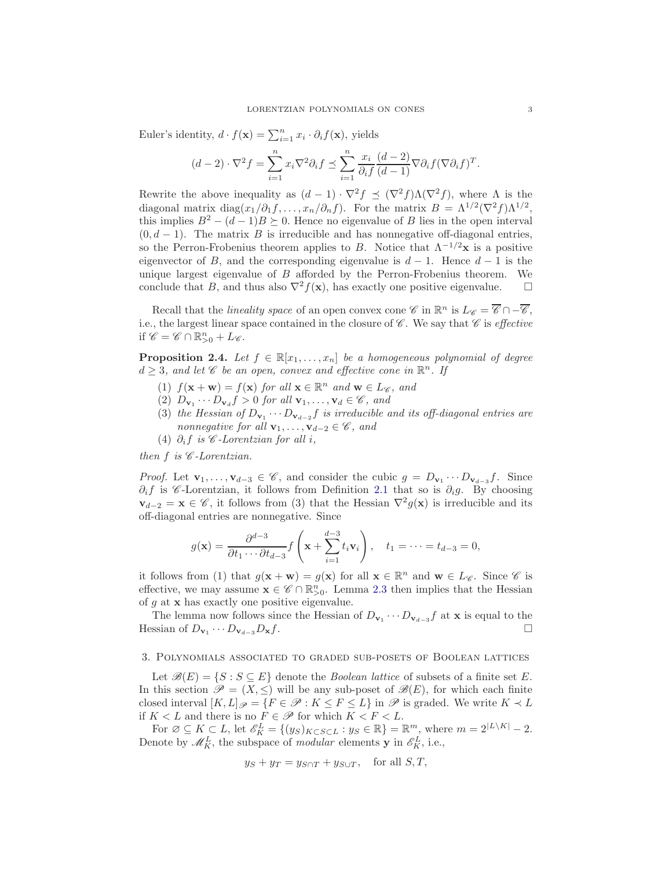Euler's identity,  $d \cdot f(\mathbf{x}) = \sum_{i=1}^{n} x_i \cdot \partial_i f(\mathbf{x})$ , yields

$$
(d-2)\cdot\nabla^2 f = \sum_{i=1}^n x_i \nabla^2 \partial_i f \preceq \sum_{i=1}^n \frac{x_i}{\partial_i f} \frac{(d-2)}{(d-1)} \nabla \partial_i f (\nabla \partial_i f)^T.
$$

Rewrite the above inequality as  $(d-1) \cdot \nabla^2 f \preceq (\nabla^2 f) \Lambda (\nabla^2 f)$ , where  $\Lambda$  is the diagonal matrix diag $(x_1/\partial_1 f, \ldots, x_n/\partial_n f)$ . For the matrix  $B = \Lambda^{1/2} (\nabla^2 f) \Lambda^{1/2}$ , this implies  $B^2 - (d-1)B \succeq 0$ . Hence no eigenvalue of B lies in the open interval  $(0, d - 1)$ . The matrix B is irreducible and has nonnegative off-diagonal entries, so the Perron-Frobenius theorem applies to B. Notice that  $\Lambda^{-1/2}$ **x** is a positive eigenvector of B, and the corresponding eigenvalue is  $d-1$ . Hence  $d-1$  is the unique largest eigenvalue of  $B$  afforded by the Perron-Frobenius theorem. We conclude that B, and thus also  $\nabla^2 f(\mathbf{x})$ , has exactly one positive eigenvalue.  $\square$ 

Recall that the *lineality space* of an open convex cone  $\mathscr{C}$  in  $\mathbb{R}^n$  is  $L_{\mathscr{C}} = \overline{\mathscr{C}} \cap -\overline{\mathscr{C}}$ , i.e., the largest linear space contained in the closure of  $\mathscr C$ . We say that  $\mathscr C$  is *effective* if  $\mathscr{C} = \mathscr{C} \cap \mathbb{R}_{>0}^n + L_{\mathscr{C}}$ .

<span id="page-2-0"></span>**Proposition 2.4.** Let  $f \in \mathbb{R}[x_1, \ldots, x_n]$  be a homogeneous polynomial of degree  $d \geq 3$ , and let  $\mathscr C$  be an open, convex and effective cone in  $\mathbb R^n$ . If

- (1)  $f(\mathbf{x} + \mathbf{w}) = f(\mathbf{x})$  for all  $\mathbf{x} \in \mathbb{R}^n$  and  $\mathbf{w} \in L_{\mathscr{C}}$ , and
- (2)  $D_{\mathbf{v}_1} \cdots D_{\mathbf{v}_d} f > 0$  for all  $\mathbf{v}_1, \ldots, \mathbf{v}_d \in \mathscr{C}$ , and
- (3) the Hessian of  $D_{\mathbf{v}_1} \cdots D_{\mathbf{v}_{d-2}}f$  is irreducible and its off-diagonal entries are nonnegative for all  $\mathbf{v}_1, \ldots, \mathbf{v}_{d-2} \in \mathscr{C}$ , and
- (4)  $\partial_i f$  is  $\mathscr{C}\text{-}Lorentzian$  for all i,

then  $f$  is  $C$ -Lorentzian.

*Proof.* Let  $\mathbf{v}_1, \ldots, \mathbf{v}_{d-3} \in \mathscr{C}$ , and consider the cubic  $g = D_{\mathbf{v}_1} \cdots D_{\mathbf{v}_{d-3}} f$ . Since  $\partial_i f$  is C-Lorentzian, it follows from Definition [2.1](#page-1-0) that so is  $\partial_i g$ . By choosing  $v_{d-2} = x \in \mathscr{C}$ , it follows from (3) that the Hessian  $\nabla^2 g(x)$  is irreducible and its off-diagonal entries are nonnegative. Since

$$
g(\mathbf{x}) = \frac{\partial^{d-3}}{\partial t_1 \cdots \partial t_{d-3}} f\left(\mathbf{x} + \sum_{i=1}^{d-3} t_i \mathbf{v}_i\right), \quad t_1 = \cdots = t_{d-3} = 0,
$$

it follows from (1) that  $g(\mathbf{x} + \mathbf{w}) = g(\mathbf{x})$  for all  $\mathbf{x} \in \mathbb{R}^n$  and  $\mathbf{w} \in L_{\mathscr{C}}$ . Since  $\mathscr{C}$  is effective, we may assume  $\mathbf{x} \in \mathscr{C} \cap \mathbb{R}_{>0}^n$ . Lemma [2.3](#page-1-2) then implies that the Hessian of  $g$  at  $x$  has exactly one positive eigenvalue.

The lemma now follows since the Hessian of  $D_{\mathbf{v}_1} \cdots D_{\mathbf{v}_{d-3}}f$  at **x** is equal to the Hessian of  $D_{\mathbf{v}_1} \cdots D_{\mathbf{v}_{d-3}} D_{\mathbf{x}} f$ .

## <span id="page-2-1"></span>3. Polynomials associated to graded sub-posets of Boolean lattices

Let  $\mathscr{B}(E) = \{ S : S \subseteq E \}$  denote the *Boolean lattice* of subsets of a finite set E. In this section  $\mathscr{P} = (X, \leq)$  will be any sub-poset of  $\mathscr{B}(E)$ , for which each finite closed interval  $[K, L]_{\mathscr{P}} = \{F \in \mathscr{P} : K \leq F \leq L\}$  in  $\mathscr{P}$  is graded. We write  $K \prec L$ if  $K < L$  and there is no  $F \in \mathscr{P}$  for which  $K < F < L$ .

For  $\emptyset \subseteq K \subseteq L$ , let  $\mathscr{E}_K^L = \{(y_S)_{K \subset S \subset L} : y_S \in \mathbb{R}\} = \mathbb{R}^m$ , where  $m = 2^{|L \setminus K|} - 2$ . Denote by  $\mathscr{M}_{K}^{L}$ , the subspace of modular elements **y** in  $\mathscr{E}_{K}^{L}$ , i.e.,

$$
y_S + y_T = y_{S \cap T} + y_{S \cup T}, \quad \text{for all } S, T,
$$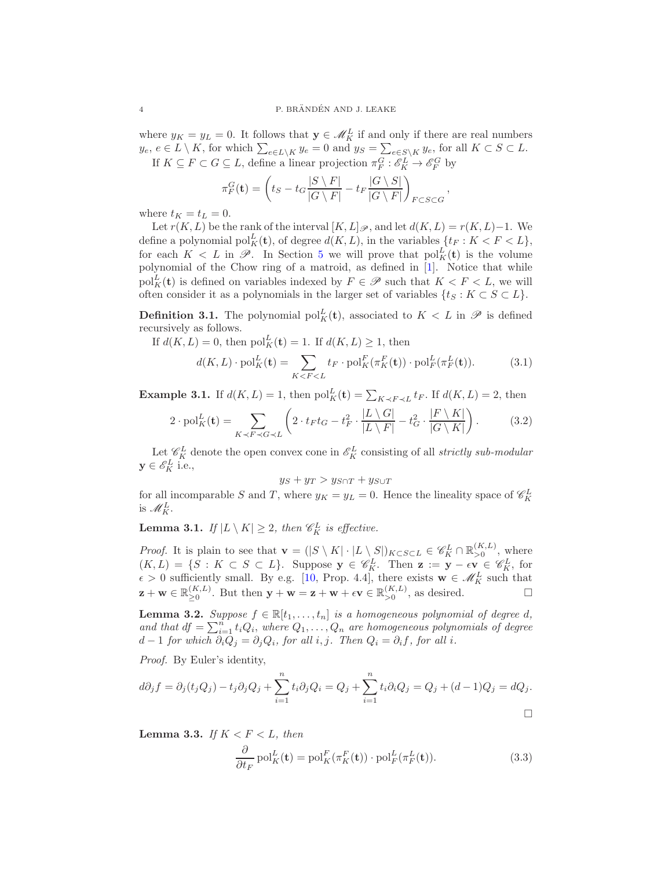where  $y_K = y_L = 0$ . It follows that  $\mathbf{y} \in \mathcal{M}_K^L$  if and only if there are real numbers  $y_e, e \in L \setminus K$ , for which  $\sum_{e \in L \setminus K} y_e = 0$  and  $y_S = \sum_{e \in S \setminus K} y_e$ , for all  $K \subset S \subset L$ . If  $K \subseteq F \subset G \subseteq L$ , define a linear projection  $\pi_F^G : \mathscr{E}_K^L \to \mathscr{E}_F^G$  by

$$
\pi_F^G(\mathbf{t}) = \left( t_S - t_G \frac{|S \setminus F|}{|G \setminus F|} - t_F \frac{|G \setminus S|}{|G \setminus F|} \right)_{F \subset S \subset G},
$$

where  $t_K = t_L = 0$ .

Let  $r(K, L)$  be the rank of the interval  $[K, L]\mathscr{P}$ , and let  $d(K, L) = r(K, L) - 1$ . We define a polynomial  $\text{pol}_K^L(\mathbf{t})$ , of degree  $d(K, L)$ , in the variables  $\{t_F : K < F < L\}$ , for each  $K < L$  in  $\mathscr{P}$ . In Section [5](#page-8-0) we will prove that  $\text{pol}_{K}^{L}(\mathbf{t})$  is the volume polynomial of the Chow ring of a matroid, as defined in [\[1\]](#page-9-1). Notice that while  $\text{pol}_{K}^{L}(\mathbf{t})$  is defined on variables indexed by  $F \in \mathscr{P}$  such that  $K < F < L$ , we will often consider it as a polynomials in the larger set of variables  $\{t_S : K \subset S \subset L\}$ .

**Definition 3.1.** The polynomial  $\text{pol}_K^L(\mathbf{t})$ , associated to  $K < L$  in  $\mathscr P$  is defined recursively as follows.

<span id="page-3-0"></span>If 
$$
d(K, L) = 0
$$
, then  $\text{pol}_K^L(\mathbf{t}) = 1$ . If  $d(K, L) \ge 1$ , then  
\n
$$
d(K, L) \cdot \text{pol}_K^L(\mathbf{t}) = \sum_{K < F < L} t_F \cdot \text{pol}_K^F(\pi_K^F(\mathbf{t})) \cdot \text{pol}_F^L(\pi_F^L(\mathbf{t})).\tag{3.1}
$$

**Example 3.1.** If  $d(K, L) = 1$ , then  $\text{pol}_K^L(\mathbf{t}) = \sum_{K \prec F \prec L} t_F$ . If  $d(K, L) = 2$ , then

<span id="page-3-5"></span>
$$
2 \cdot \text{pol}_{K}^{L}(\mathbf{t}) = \sum_{K \prec F \prec G \prec L} \left( 2 \cdot t_F t_G - t_F^2 \cdot \frac{|L \setminus G|}{|L \setminus F|} - t_G^2 \cdot \frac{|F \setminus K|}{|G \setminus K|} \right). \tag{3.2}
$$

Let  $\mathscr{C}_{K}^{L}$  denote the open convex cone in  $\mathscr{C}_{K}^{L}$  consisting of all *strictly sub-modular*  $y \in \mathscr{E}_K^L$  i.e.,

$$
y_S + y_T > y_{S \cap T} + y_{S \cup T}
$$

for all incomparable S and T, where  $y_K = y_L = 0$ . Hence the lineality space of  $\mathscr{C}_{K}^{L}$ is  $\mathscr{M}_K^L$ .

<span id="page-3-4"></span>**Lemma 3.1.** If  $|L \setminus K| \geq 2$ , then  $\mathscr{C}_{K}^{L}$  is effective.

*Proof.* It is plain to see that  $\mathbf{v} = (|S \setminus K| \cdot |L \setminus S|)_{K \subset S \subset L} \in \mathscr{C}_{K}^{L} \cap \mathbb{R}_{>0}^{(K,L)}$ , where  $(K, L) = \{S : K \subset S \subset L\}$ . Suppose  $y \in \mathscr{C}_{K}^{L}$ . Then  $z := y - \epsilon v \in \mathscr{C}_{K}^{L}$ , for  $\epsilon > 0$  sufficiently small. By e.g. [\[10,](#page-9-9) Prop. 4.4], there exists  $\mathbf{w} \in \mathcal{M}_K^L$  such that  $\mathbf{z}+\mathbf{w}\in\mathbb{R}_{>0}^{(K,L)}$  $\sum_{\geq 0}^{(K,L)}$ . But then  $\mathbf{y} + \mathbf{w} = \mathbf{z} + \mathbf{w} + \epsilon \mathbf{v} \in \mathbb{R}_{>0}^{(K,L)}$ , as desired.

<span id="page-3-2"></span>**Lemma 3.2.** Suppose  $f \in \mathbb{R}[t_1,\ldots,t_n]$  is a homogeneous polynomial of degree d, and that  $df = \sum_{i=1}^{n} t_i Q_i$ , where  $Q_1, \ldots, Q_n$  are homogeneous polynomials of degree  $d-1$  for which  $\partial_i Q_j = \partial_j Q_i$ , for all i, j. Then  $Q_i = \partial_i f$ , for all i.

Proof. By Euler's identity,

$$
d\partial_j f = \partial_j (t_j Q_j) - t_j \partial_j Q_j + \sum_{i=1}^n t_i \partial_j Q_i = Q_j + \sum_{i=1}^n t_i \partial_i Q_j = Q_j + (d-1)Q_j = dQ_j.
$$

<span id="page-3-3"></span>**Lemma 3.3.** If  $K < F < L$ , then

<span id="page-3-1"></span>
$$
\frac{\partial}{\partial t_F} \operatorname{pol}_K^L(\mathbf{t}) = \operatorname{pol}_K^F(\pi_K^F(\mathbf{t})) \cdot \operatorname{pol}_F^L(\pi_F^L(\mathbf{t})).
$$
\n(3.3)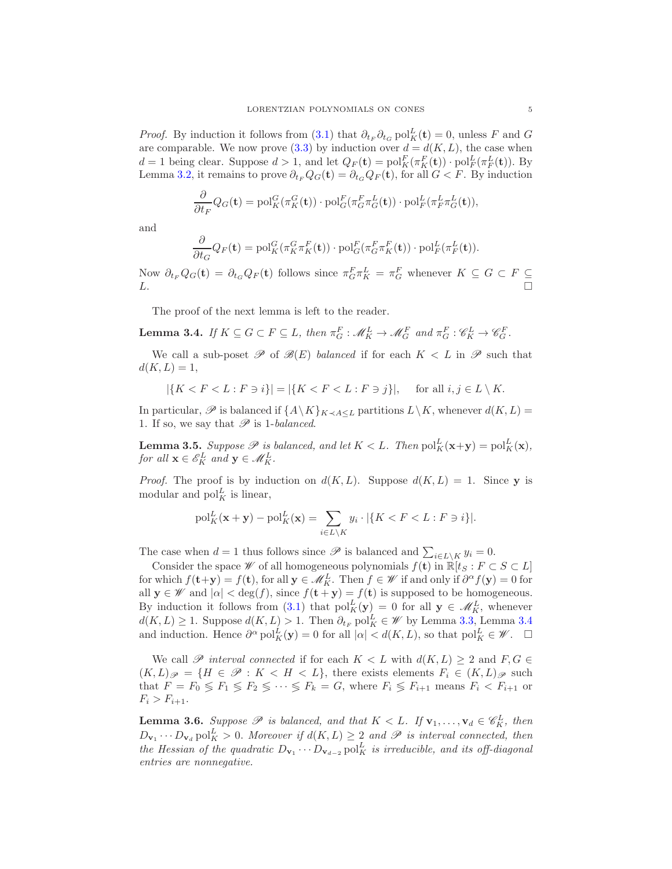*Proof.* By induction it follows from [\(3.1\)](#page-3-0) that  $\partial_{t_F} \partial_{t_G} \text{pol}_K^L(\mathbf{t}) = 0$ , unless F and G are comparable. We now prove [\(3.3\)](#page-3-1) by induction over  $d = d(K, L)$ , the case when  $d = 1$  being clear. Suppose  $d > 1$ , and let  $Q_F(\mathbf{t}) = \text{pol}_K^F(\pi_K^F(\mathbf{t})) \cdot \text{pol}_F^L(\pi_F^L(\mathbf{t}))$ . By Lemma [3.2,](#page-3-2) it remains to prove  $\partial_{t_F} Q_G(\mathbf{t}) = \partial_{t_G} Q_F(\mathbf{t})$ , for all  $G \leq F$ . By induction

$$
\frac{\partial}{\partial t_F} Q_G(\mathbf{t}) = \text{pol}_K^G(\pi_K^G(\mathbf{t})) \cdot \text{pol}_G^F(\pi_G^F \pi_G^L(\mathbf{t})) \cdot \text{pol}_F^L(\pi_F^L \pi_G^L(\mathbf{t})),
$$

and

$$
\frac{\partial}{\partial t_G} Q_F(\mathbf{t}) = \text{pol}_K^G(\pi_K^G \pi_K^F(\mathbf{t})) \cdot \text{pol}_G^F(\pi_G^F \pi_K^F(\mathbf{t})) \cdot \text{pol}_F^L(\pi_F^L(\mathbf{t})).
$$

Now  $\partial_{t_F} Q_G(\mathbf{t}) = \partial_{t_G} Q_F(\mathbf{t})$  follows since  $\pi_G^F \pi_K^L = \pi_G^F$  whenever  $K \subseteq G \subset F \subseteq$  $L.$ 

The proof of the next lemma is left to the reader.

<span id="page-4-0"></span>**Lemma 3.4.** If  $K \subseteq G \subset F \subseteq L$ , then  $\pi_G^F : \mathcal{M}_K^L \to \mathcal{M}_G^F$  and  $\pi_G^F : \mathcal{C}_K^L \to \mathcal{C}_G^F$ .

We call a sub-poset  $\mathscr P$  of  $\mathscr B(E)$  balanced if for each  $K < L$  in  $\mathscr P$  such that  $d(K, L) = 1,$ 

$$
|\{K
$$

In particular,  $\mathscr P$  is balanced if  $\{A\setminus K\}_{K\prec A\leq L}$  partitions  $L\setminus K$ , whenever  $d(K, L)$  = 1. If so, we say that  $\mathscr P$  is 1-balanced.

<span id="page-4-1"></span>**Lemma 3.5.** Suppose  $\mathscr P$  is balanced, and let  $K < L$ . Then  $\text{pol}_K^L(\mathbf x+\mathbf y) = \text{pol}_K^L(\mathbf x)$ , for all  $\mathbf{x} \in \mathscr{E}_K^L$  and  $\mathbf{y} \in \mathscr{M}_K^L$ .

*Proof.* The proof is by induction on  $d(K, L)$ . Suppose  $d(K, L) = 1$ . Since y is modular and  $\text{pol}_K^L$  is linear,

$$
\mathrm{pol}_{K}^{L}(\mathbf{x} + \mathbf{y}) - \mathrm{pol}_{K}^{L}(\mathbf{x}) = \sum_{i \in L \setminus K} y_{i} \cdot |\{K < F < L : F \ni i\}|.
$$

The case when  $d = 1$  thus follows since  $\mathscr P$  is balanced and  $\sum_{i \in L \setminus K} y_i = 0$ .

Consider the space  $\mathscr W$  of all homogeneous polynomials  $f(\mathbf{t})$  in  $\mathbb{R}[t_S : F \subset S \subset L]$ for which  $f(\mathbf{t}+\mathbf{y}) = f(\mathbf{t})$ , for all  $\mathbf{y} \in \mathcal{M}_K^L$ . Then  $f \in \mathcal{W}$  if and only if  $\partial^{\alpha} f(\mathbf{y}) = 0$  for all  $y \in W$  and  $|\alpha| < \deg(f)$ , since  $f(t + y) = f(t)$  is supposed to be homogeneous. By induction it follows from [\(3.1\)](#page-3-0) that  $\text{pol}_{K}^{L}(\mathbf{y}) = 0$  for all  $\mathbf{y} \in \mathscr{M}_{K}^{L}$ , whenever  $d(K, L) \geq 1$ . Suppose  $d(K, L) > 1$ . Then  $\partial_{t_F}$  pol<sup>L</sup><sub>K</sub> ∈ *W* by Lemma [3.3,](#page-3-3) Lemma [3.4](#page-4-0) and induction. Hence  $\partial^{\alpha} \text{pol}_{K}^{L}(\mathbf{y}) = 0$  for all  $|\alpha| < d(K, L)$ , so that  $\text{pol}_{K}^{L} \in \mathscr{W}$ .  $\Box$ 

We call P interval connected if for each  $K < L$  with  $d(K, L) > 2$  and  $F, G \in$  $(K, L)_{\mathscr{P}} = \{H \in \mathscr{P} : K < H < L\}$ , there exists elements  $F_i \in (K, L)_{\mathscr{P}}$  such that  $F = F_0 \lessgtr F_1 \lessgtr F_2 \lessgtr \cdots \lessgtr F_k = G$ , where  $F_i \lessgtr F_{i+1}$  means  $F_i < F_{i+1}$  or  $F_i > F_{i+1}.$ 

<span id="page-4-2"></span>**Lemma 3.6.** Suppose  $\mathscr P$  is balanced, and that  $K < L$ . If  $\mathbf{v}_1, \ldots, \mathbf{v}_d \in \mathscr C_K^L$ , then  $D_{\mathbf{v}_1} \cdots D_{\mathbf{v}_d}$  pol $_K^L > 0$ . Moreover if  $d(K, L) \geq 2$  and  $\mathscr P$  is interval connected, then the Hessian of the quadratic  $D_{\mathbf{v}_1} \cdots D_{\mathbf{v}_{d-2}}$  pol<sup>L</sup><sub>i</sub> is irreducible, and its off-diagonal entries are nonnegative.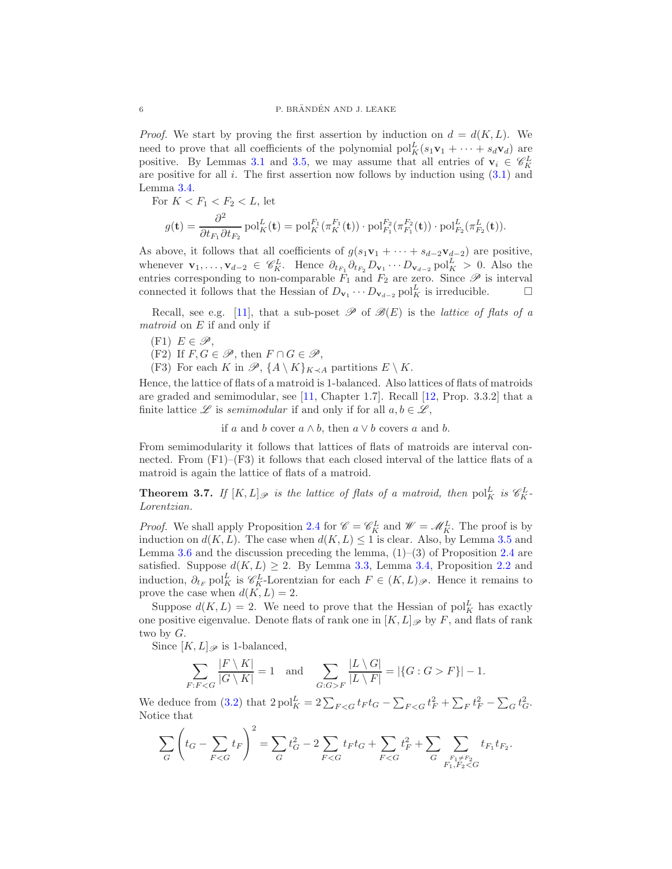*Proof.* We start by proving the first assertion by induction on  $d = d(K, L)$ . We need to prove that all coefficients of the polynomial  $\text{pol}_{K}^{L}(s_{1}\mathbf{v}_{1} + \cdots + s_{d}\mathbf{v}_{d})$  are positive. By Lemmas [3.1](#page-3-4) and [3.5,](#page-4-1) we may assume that all entries of  $\mathbf{v}_i \in \mathscr{C}_{K}^{L}$ are positive for all  $i$ . The first assertion now follows by induction using  $(3.1)$  and Lemma [3.4.](#page-4-0)

For  $K < F_1 < F_2 < L$ , let

$$
g(\mathbf{t}) = \frac{\partial^2}{\partial t_{F_1} \partial t_{F_2}} \text{pol}_K^L(\mathbf{t}) = \text{pol}_K^{F_1}(\pi_K^{F_1}(\mathbf{t})) \cdot \text{pol}_{F_1}^{F_2}(\pi_{F_1}^{F_2}(\mathbf{t})) \cdot \text{pol}_{F_2}^L(\pi_{F_2}^L(\mathbf{t})).
$$

As above, it follows that all coefficients of  $g(s_1\mathbf{v}_1 + \cdots + s_{d-2}\mathbf{v}_{d-2})$  are positive, whenever  $\mathbf{v}_1,\ldots,\mathbf{v}_{d-2} \in \mathscr{C}_{K}^L$ . Hence  $\partial_{t_{F_1}} \partial_{t_{F_2}} D_{\mathbf{v}_1} \cdots D_{\mathbf{v}_{d-2}}$  pol $_K^L > 0$ . Also the entries corresponding to non-comparable  $\dot{F}_1$  and  $F_2$  are zero. Since  $\mathscr P$  is interval connected it follows that the Hessian of  $D_{\mathbf{v}_1} \cdots D_{\mathbf{v}_{d-2}}$  pol<sup>L</sup><sub>K</sub> is irreducible.  $\Box$ 

Recall, see e.g. [\[11\]](#page-10-1), that a sub-poset  $\mathscr P$  of  $\mathscr B(E)$  is the *lattice of flats of a* matroid on E if and only if

- $(F1)$   $E \in \mathscr{P}$ ,
- (F2) If  $F, G \in \mathscr{P}$ , then  $F \cap G \in \mathscr{P}$ ,
- (F3) For each K in  $\mathscr{P}, \{A \setminus K\}_{K\prec A}$  partitions  $E \setminus K$ .

Hence, the lattice of flats of a matroid is 1-balanced. Also lattices of flats of matroids are graded and semimodular, see [\[11,](#page-10-1) Chapter 1.7]. Recall [\[12,](#page-10-2) Prop. 3.3.2] that a finite lattice L is semimodular if and only if for all  $a, b \in \mathcal{L}$ ,

if a and b cover  $a \wedge b$ , then  $a \vee b$  covers a and b.

From semimodularity it follows that lattices of flats of matroids are interval connected. From  $(F1)$ – $(F3)$  it follows that each closed interval of the lattice flats of a matroid is again the lattice of flats of a matroid.

<span id="page-5-0"></span>**Theorem 3.7.** If  $[K,L]_{\mathscr{P}}$  is the lattice of flats of a matroid, then  $\text{pol}_{K}^{L}$  is  $\mathscr{C}_{K}^{L}$ Lorentzian.

*Proof.* We shall apply Proposition [2.4](#page-2-0) for  $\mathcal{C} = \mathcal{C}_K^L$  and  $\mathcal{W} = \mathcal{M}_K^L$ . The proof is by induction on  $d(K, L)$ . The case when  $d(K, L) \leq 1$  is clear. Also, by Lemma [3.5](#page-4-1) and Lemma [3.6](#page-4-2) and the discussion preceding the lemma,  $(1)$ – $(3)$  of Proposition [2.4](#page-2-0) are satisfied. Suppose  $d(K, L) \geq 2$ . By Lemma [3.3,](#page-3-3) Lemma [3.4,](#page-4-0) Proposition [2.2](#page-1-3) and induction,  $\partial_{t_F}$  pol<sup>L</sup><sub>K</sub> is  $\mathscr{C}_{K}^L$ -Lorentzian for each  $F \in (K, L)_{\mathscr{P}}$ . Hence it remains to prove the case when  $d(K, L) = 2$ .

Suppose  $d(K, L) = 2$ . We need to prove that the Hessian of pol<sub>K</sub> has exactly one positive eigenvalue. Denote flats of rank one in  $[K, L]\mathscr{P}$  by F, and flats of rank two by  $G$ .

Since  $[K, L]_{\mathscr{P}}$  is 1-balanced,

$$
\sum_{F:FF} \frac{|L \setminus G|}{|L \setminus F|} = |\{G:G>F\}| - 1.
$$

We deduce from [\(3.2\)](#page-3-5) that  $2\text{ pol}_K^L = 2\sum_{F < G} t_F t_G - \sum_{F < G} t_F^2 + \sum_F t_F^2 - \sum_G t_G^2$ . Notice that

$$
\sum_G \left(t_G - \sum_{F < G} t_F \right)^2 = \sum_G t_G^2 - 2 \sum_{F < G} t_F t_G + \sum_{F < G} t_F^2 + \sum_G \sum_{\substack{F_1 \neq F_2 \\ F_1, F_2 < G}} t_{F_1} t_{F_2}.
$$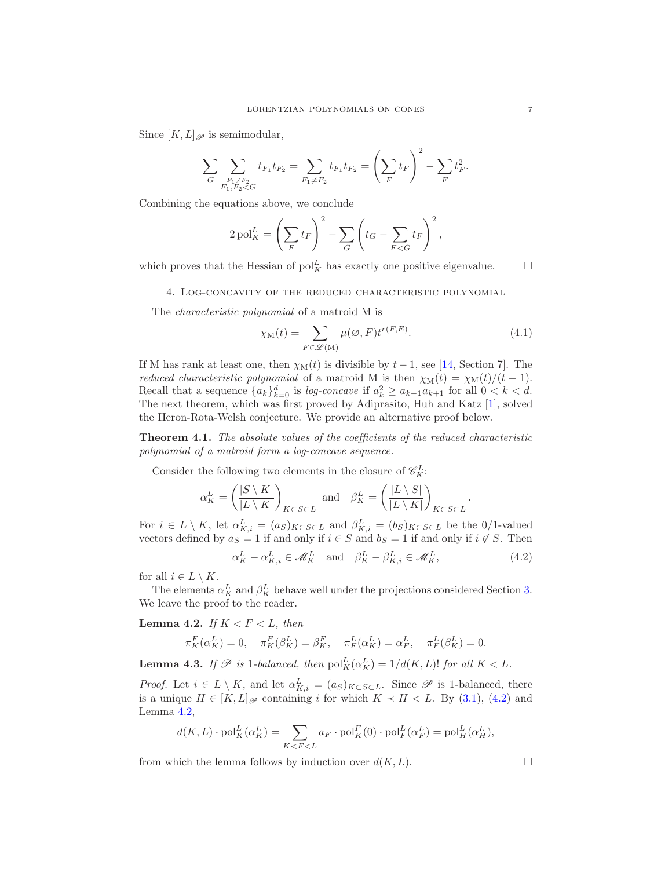Since  $[K, L]_{\mathscr{P}}$  is semimodular,

$$
\sum_{G} \sum_{\substack{F_1 \neq F_2 \\ F_1, F_2 < G}} t_{F_1} t_{F_2} = \sum_{F_1 \neq F_2} t_{F_1} t_{F_2} = \left(\sum_{F} t_{F}\right)^2 - \sum_{F} t_{F}^2.
$$

Combining the equations above, we conclude

$$
2\operatorname{pol}_{K}^{L}=\left(\sum_{F}t_{F}\right)^{2}-\sum_{G}\left(t_{G}-\sum_{F
$$

<span id="page-6-0"></span>which proves that the Hessian of  $pol_K^L$  has exactly one positive eigenvalue.  $\Box$ 

## 4. Log-concavity of the reduced characteristic polynomial

The characteristic polynomial of a matroid M is

$$
\chi_{\mathcal{M}}(t) = \sum_{F \in \mathscr{L}(\mathcal{M})} \mu(\varnothing, F) t^{r(F, E)}.
$$
\n(4.1)

If M has rank at least one, then  $\chi_M(t)$  is divisible by  $t-1$ , see [\[14,](#page-10-3) Section 7]. The *reduced characteristic polynomial* of a matroid M is then  $\overline{\chi}_{M}(t) = \chi_{M}(t)/(t-1)$ . Recall that a sequence  ${a_k}_{k=0}^d$  is *log-concave* if  $a_k^2 \ge a_{k-1}a_{k+1}$  for all  $0 < k < d$ . The next theorem, which was first proved by Adiprasito, Huh and Katz [\[1\]](#page-9-1), solved the Heron-Rota-Welsh conjecture. We provide an alternative proof below.

<span id="page-6-1"></span>Theorem 4.1. The absolute values of the coefficients of the reduced characteristic polynomial of a matroid form a log-concave sequence.

Consider the following two elements in the closure of  $\mathscr{C}_{K}^{L}$ :

$$
\alpha_K^L = \left(\frac{|S \setminus K|}{|L \setminus K|}\right)_{K \subset S \subset L} \text{ and } \beta_K^L = \left(\frac{|L \setminus S|}{|L \setminus K|}\right)_{K \subset S \subset L}
$$

For  $i \in L \setminus K$ , let  $\alpha_{K,i}^L = (a_S)_{K \subset S \subset L}$  and  $\beta_{K,i}^L = (b_S)_{K \subset S \subset L}$  be the 0/1-valued vectors defined by  $a_S = 1$  if and only if  $i \in S$  and  $b_S = 1$  if and only if  $i \notin S$ . Then

<span id="page-6-2"></span>
$$
\alpha_K^L - \alpha_{K,i}^L \in \mathcal{M}_K^L \quad \text{and} \quad \beta_K^L - \beta_{K,i}^L \in \mathcal{M}_K^L,\tag{4.2}
$$

.

for all  $i \in L \setminus K$ .

The elements  $\alpha_K^L$  and  $\beta_K^L$  behave well under the projections considered Section [3.](#page-2-1) We leave the proof to the reader.

<span id="page-6-3"></span>Lemma 4.2. If  $K < F < L$ , then

$$
\pi_K^F(\alpha_K^L) = 0, \quad \pi_K^F(\beta_K^L) = \beta_K^F, \quad \pi_F^L(\alpha_K^L) = \alpha_F^L, \quad \pi_F^L(\beta_K^L) = 0.
$$

<span id="page-6-4"></span>**Lemma 4.3.** If  $\mathscr P$  is 1-balanced, then  $\text{pol}_K^L(\alpha_K^L) = 1/d(K, L)!$  for all  $K < L$ .

*Proof.* Let  $i \in L \setminus K$ , and let  $\alpha_{K,i}^L = (a_S)_{K \subset S \subset L}$ . Since  $\mathscr P$  is 1-balanced, there is a unique  $H \in [K, L]_{\mathscr{P}}$  containing i for which  $K \prec H \prec L$ . By [\(3.1\)](#page-3-0), [\(4.2\)](#page-6-2) and Lemma [4.2,](#page-6-3)

$$
d(K, L) \cdot \text{pol}_{K}^{L}(\alpha_{K}^{L}) = \sum_{K < F < L} a_F \cdot \text{pol}_{K}^{F}(0) \cdot \text{pol}_{F}^{L}(\alpha_{F}^{L}) = \text{pol}_{H}^{L}(\alpha_{H}^{L}),
$$

from which the lemma follows by induction over  $d(K, L)$ .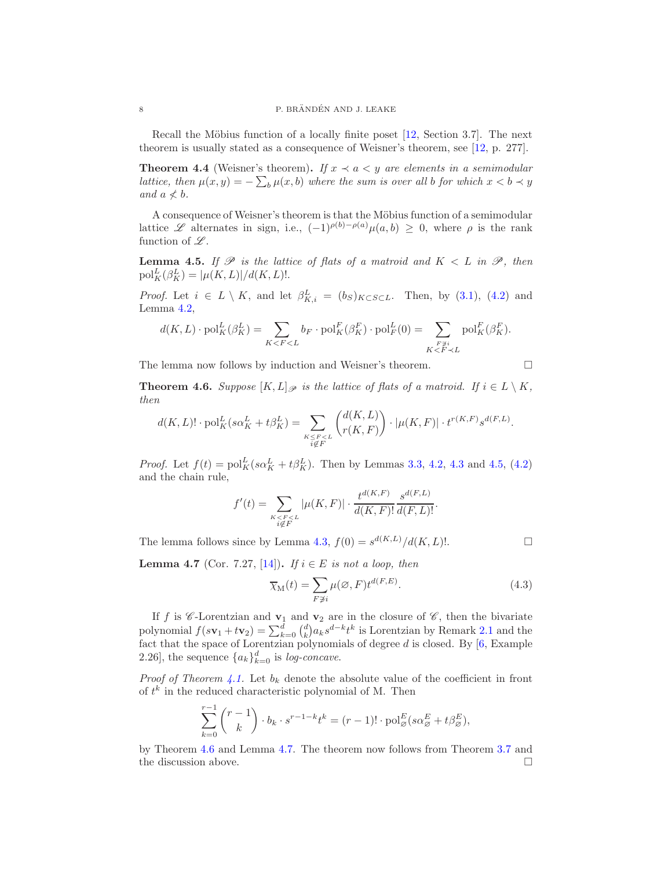Recall the Möbius function of a locally finite poset  $[12, Section 3.7]$ . The next theorem is usually stated as a consequence of Weisner's theorem, see [\[12,](#page-10-2) p. 277].

**Theorem 4.4** (Weisner's theorem). If  $x \prec a \prec y$  are elements in a semimodular lattice, then  $\mu(x, y) = -\sum_{b} \mu(x, b)$  where the sum is over all b for which  $x < b \prec y$ and  $a \nless b$ .

A consequence of Weisner's theorem is that the Möbius function of a semimodular lattice L alternates in sign, i.e.,  $(-1)^{\rho(b)-\rho(a)}\mu(a,b) \geq 0$ , where  $\rho$  is the rank function of  $\mathscr{L}$ .

<span id="page-7-0"></span>**Lemma 4.5.** If  $\mathscr P$  is the lattice of flats of a matroid and  $K < L$  in  $\mathscr P$ , then  $\text{pol}_{K}^{L}(\beta_{K}^{L}) = |\mu(K, L)|/d(K, L)!$ .

*Proof.* Let  $i \in L \setminus K$ , and let  $\beta_{K,i}^L = (b_S)_{K \subset S \subset L}$ . Then, by [\(3.1\)](#page-3-0), [\(4.2\)](#page-6-2) and Lemma [4.2,](#page-6-3)

$$
d(K, L) \cdot \text{pol}_K^L(\beta_K^L) = \sum_{K < F < L} b_F \cdot \text{pol}_K^F(\beta_K^F) \cdot \text{pol}_F^L(0) = \sum_{\substack{F \not\ni i \\ K < F < L}} \text{pol}_K^F(\beta_K^F).
$$

The lemma now follows by induction and Weisner's theorem.

<span id="page-7-1"></span>**Theorem 4.6.** Suppose  $[K, L]_{\mathscr{P}}$  is the lattice of flats of a matroid. If  $i \in L \setminus K$ , then

$$
d(K, L)! \cdot \text{pol}_{K}^{L}(s\alpha_{K}^{L} + t\beta_{K}^{L}) = \sum_{\substack{K \leq F < L \\ i \notin F}} \binom{d(K, L)}{r(K, F)} \cdot |\mu(K, F)| \cdot t^{r(K, F)} s^{d(F, L)}.
$$

*Proof.* Let  $f(t) = \text{pol}_K^L(s\alpha_K^L + t\beta_K^L)$ . Then by Lemmas [3.3,](#page-3-3) [4.2,](#page-6-3) [4.3](#page-6-4) and [4.5,](#page-7-0) [\(4.2\)](#page-6-2) and the chain rule,

$$
f'(t) = \sum_{\substack{K < F < L \\ i \notin F}} |\mu(K, F)| \cdot \frac{t^{d(K, F)}}{d(K, F)!} \frac{s^{d(F, L)}}{d(F, L)!}.
$$

The lemma follows since by Lemma [4.3,](#page-6-4)  $f(0) = s^{d(K,L)}/d(K,L)!$ .

<span id="page-7-2"></span>**Lemma 4.7** (Cor. 7.27, [\[14\]](#page-10-3)). If  $i \in E$  is not a loop, then

$$
\overline{\chi}_{\mathcal{M}}(t) = \sum_{F \not\ni i} \mu(\varnothing, F) t^{d(F, E)}.
$$
\n(4.3)

If f is  $\mathscr C$ -Lorentzian and  $\mathbf{v}_1$  and  $\mathbf{v}_2$  are in the closure of  $\mathscr C$ , then the bivariate polynomial  $f(s\mathbf{v}_1+t\mathbf{v}_2)=\sum_{k=0}^d\binom{d}{k}a_ks^{d-k}t^k$  is Lorentzian by Remark [2.1](#page-1-1) and the fact that the space of Lorentzian polynomials of degree  $d$  is closed. By  $[6, \mathrm{Example}$ 2.26], the sequence  ${a_k}_{k=0}^d$  is *log-concave*.

*Proof of Theorem [4.1.](#page-6-1)* Let  $b_k$  denote the absolute value of the coefficient in front of  $t^k$  in the reduced characteristic polynomial of M. Then

$$
\sum_{k=0}^{r-1} {r-1 \choose k} \cdot b_k \cdot s^{r-1-k} t^k = (r-1)! \cdot \text{pol}_{\varnothing}^E(s\alpha_{\varnothing}^E + t\beta_{\varnothing}^E),
$$

by Theorem [4.6](#page-7-1) and Lemma [4.7.](#page-7-2) The theorem now follows from Theorem [3.7](#page-5-0) and the discussion above.  $\hfill\Box$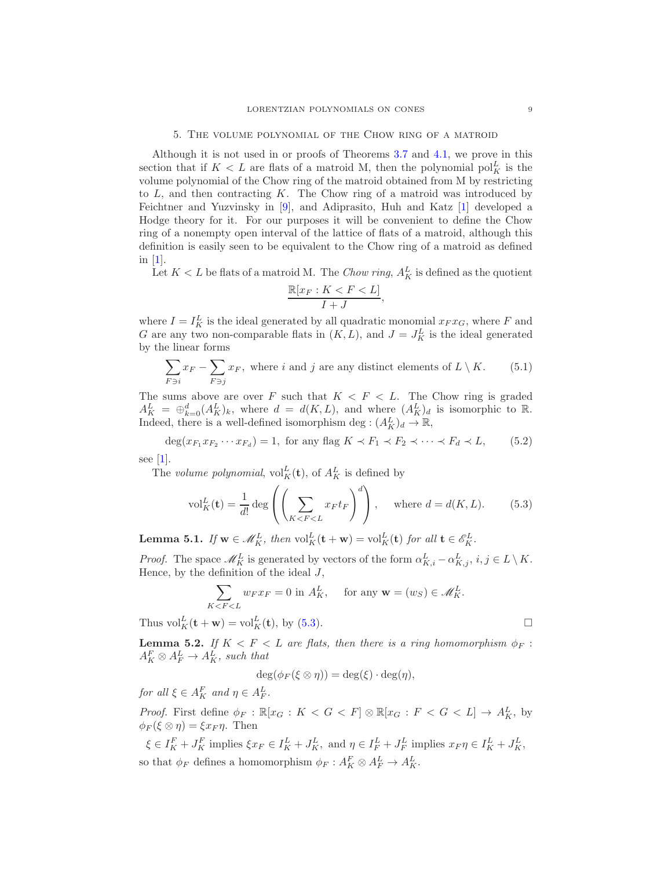#### 5. The volume polynomial of the Chow ring of a matroid

<span id="page-8-0"></span>Although it is not used in or proofs of Theorems [3.7](#page-5-0) and [4.1,](#page-6-1) we prove in this section that if  $K < L$  are flats of a matroid M, then the polynomial  $\text{pol}_{K}^{L}$  is the volume polynomial of the Chow ring of the matroid obtained from M by restricting to  $L$ , and then contracting  $K$ . The Chow ring of a matroid was introduced by Feichtner and Yuzvinsky in [\[9\]](#page-9-10), and Adiprasito, Huh and Katz [\[1\]](#page-9-1) developed a Hodge theory for it. For our purposes it will be convenient to define the Chow ring of a nonempty open interval of the lattice of flats of a matroid, although this definition is easily seen to be equivalent to the Chow ring of a matroid as defined in  $|1|$ .

Let  $K < L$  be flats of a matroid M. The *Chow ring*,  $A_K^L$  is defined as the quotient

$$
\frac{\mathbb{R}[x_F:K
$$

where  $I = I_K^L$  is the ideal generated by all quadratic monomial  $x_F x_G$ , where F and G are any two non-comparable flats in  $(K, L)$ , and  $J = J_K^L$  is the ideal generated by the linear forms

$$
\sum_{F \ni i} x_F - \sum_{F \ni j} x_F
$$
, where *i* and *j* are any distinct elements of  $L \setminus K$ . (5.1)

The sums above are over F such that  $K < F < L$ . The Chow ring is graded  $A_K^L = \bigoplus_{k=0}^d (A_K^L)_k$ , where  $d = d(K, L)$ , and where  $(A_K^L)_d$  is isomorphic to R. Indeed, there is a well-defined isomorphism deg :  $(A_K^L)_d \to \mathbb{R}$ ,

<span id="page-8-2"></span>
$$
\deg(x_{F_1}x_{F_2}\cdots x_{F_d}) = 1, \text{ for any flag } K \prec F_1 \prec F_2 \prec \cdots \prec F_d \prec L, \qquad (5.2)
$$

see [\[1\]](#page-9-1).

The volume polynomial,  $\mathrm{vol}_K^L(\mathbf{t})$ , of  $A_K^L$  is defined by

<span id="page-8-1"></span>
$$
\text{vol}_{K}^{L}(\mathbf{t}) = \frac{1}{d!} \deg \left( \left( \sum_{K < F < L} x_{F} t_{F} \right)^{d} \right), \quad \text{where } d = d(K, L). \tag{5.3}
$$

<span id="page-8-4"></span>**Lemma 5.1.** If  $\mathbf{w} \in \mathcal{M}_K^L$ , then  $\mathrm{vol}_K^L(\mathbf{t} + \mathbf{w}) = \mathrm{vol}_K^L(\mathbf{t})$  for all  $\mathbf{t} \in \mathcal{E}_K^L$ .

*Proof.* The space  $\mathscr{M}_{K}^{L}$  is generated by vectors of the form  $\alpha_{K,i}^{L} - \alpha_{K,j}^{L}$ ,  $i, j \in L \setminus K$ . Hence, by the definition of the ideal  $J$ ,

$$
\sum_{K < F < L} w_F x_F = 0 \text{ in } A_K^L, \quad \text{ for any } \mathbf{w} = (w_S) \in \mathcal{M}_K^L.
$$

Thus  $\mathrm{vol}_K^L(\mathbf{t} + \mathbf{w}) = \mathrm{vol}_K^L(\mathbf{t}), \text{ by (5.3)}.$  $\mathrm{vol}_K^L(\mathbf{t} + \mathbf{w}) = \mathrm{vol}_K^L(\mathbf{t}), \text{ by (5.3)}.$  $\mathrm{vol}_K^L(\mathbf{t} + \mathbf{w}) = \mathrm{vol}_K^L(\mathbf{t}), \text{ by (5.3)}.$ 

<span id="page-8-3"></span>**Lemma 5.2.** If  $K < F < L$  are flats, then there is a ring homomorphism  $\phi_F$ :  $A_K^F \otimes A_F^L \rightarrow A_K^L$ , such that

$$
\deg(\phi_F(\xi \otimes \eta)) = \deg(\xi) \cdot \deg(\eta),
$$

for all  $\xi \in A_K^F$  and  $\eta \in A_F^L$ .

*Proof.* First define  $\phi_F : \mathbb{R}[x_G : K < G < F] \otimes \mathbb{R}[x_G : F < G < L] \to A_K^L$ , by  $\phi_F(\xi \otimes \eta) = \xi x_F \eta$ . Then

 $\xi \in I_K^F + J_K^F$  implies  $\xi x_F \in I_K^L + J_K^L$ , and  $\eta \in I_F^L + J_F^L$  implies  $x_F \eta \in I_K^L + J_K^L$ , so that  $\phi_F$  defines a homomorphism  $\phi_F: A_K^F \otimes A_F^L \to A_K^L$ .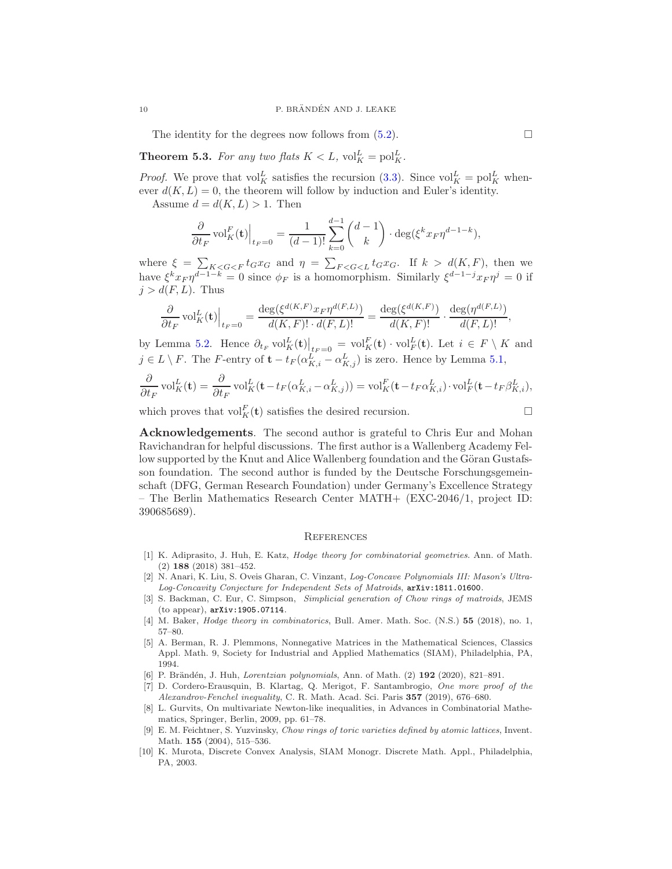The identity for the degrees now follows from  $(5.2)$ .

<span id="page-9-6"></span>**Theorem 5.3.** For any two flats  $K < L$ ,  $\mathrm{vol}_{K}^{L} = \mathrm{pol}_{K}^{L}$ .

*Proof.* We prove that  $\text{vol}_{K}^{L}$  satisfies the recursion [\(3.3\)](#page-3-1). Since  $\text{vol}_{K}^{L} = \text{pol}_{K}^{L}$  whenever  $d(K, L) = 0$ , the theorem will follow by induction and Euler's identity.

Assume  $d = d(K, L) > 1$ . Then

$$
\frac{\partial}{\partial t_F} \operatorname{vol}_K^F(\mathbf{t})\Big|_{t_F=0} = \frac{1}{(d-1)!} \sum_{k=0}^{d-1} {d-1 \choose k} \cdot \deg(\xi^k x_F \eta^{d-1-k}),
$$

where  $\xi = \sum_{K < G < F} t_G x_G$  and  $\eta = \sum_{F < G < L} t_G x_G$ . If  $k > d(K, F)$ , then we have  $\xi^k x_F \eta^{d-1-k} = 0$  since  $\phi_F$  is a homomorphism. Similarly  $\xi^{d-1-j} x_F \eta^j = 0$  if  $j > d(F, L)$ . Thus

$$
\frac{\partial}{\partial t_F} \operatorname{vol}_K^L(\mathbf{t})\Big|_{t_F=0} = \frac{\deg(\xi^{d(K,F)} x_F \eta^{d(F,L)})}{d(K,F)!\cdot d(F,L)!} = \frac{\deg(\xi^{d(K,F)})}{d(K,F)!}\cdot \frac{\deg(\eta^{d(F,L)})}{d(F,L)!},
$$

by Lemma [5.2.](#page-8-3) Hence  $\partial_{t_F} \text{vol}_K^L(\mathbf{t})\Big|_{t_F=0} = \text{vol}_K^F(\mathbf{t}) \cdot \text{vol}_F^L(\mathbf{t})$ . Let  $i \in F \setminus K$  and  $j \in L \setminus F$ . The F-entry of  $\mathbf{t} - t_F(\alpha_{K,i}^L - \alpha_{K,j}^L)$  is zero. Hence by Lemma [5.1,](#page-8-4)

$$
\frac{\partial}{\partial t_F} \operatorname{vol}_K^L(\mathbf{t}) = \frac{\partial}{\partial t_F} \operatorname{vol}_K^L(\mathbf{t} - t_F(\alpha_{K,i}^L - \alpha_{K,j}^L)) = \operatorname{vol}_K^F(\mathbf{t} - t_F\alpha_{K,i}^L) \cdot \operatorname{vol}_F^L(\mathbf{t} - t_F\beta_{K,i}^L),
$$

which proves that  $\mathrm{vol}_{K}^{F}(\mathbf{t})$  satisfies the desired recursion.

$$
\Box
$$

Acknowledgements. The second author is grateful to Chris Eur and Mohan Ravichandran for helpful discussions. The first author is a Wallenberg Academy Fellow supported by the Knut and Alice Wallenberg foundation and the Göran Gustafsson foundation. The second author is funded by the Deutsche Forschungsgemeinschaft (DFG, German Research Foundation) under Germany's Excellence Strategy – The Berlin Mathematics Research Center MATH+ (EXC-2046/1, project ID: 390685689).

#### **REFERENCES**

- <span id="page-9-1"></span>[1] K. Adiprasito, J. Huh, E. Katz, *Hodge theory for combinatorial geometries*. Ann. of Math. (2) 188 (2018) 381–452.
- <span id="page-9-3"></span>[2] N. Anari, K. Liu, S. Oveis Gharan, C. Vinzant, *Log-Concave Polynomials III: Mason's Ultra-Log-Concavity Conjecture for Independent Sets of Matroids*, <arXiv:1811.01600>.
- <span id="page-9-5"></span>[3] S. Backman, C. Eur, C. Simpson, *Simplicial generation of Chow rings of matroids*, JEMS (to appear), <arXiv:1905.07114>.
- <span id="page-9-7"></span><span id="page-9-0"></span>[4] M. Baker, *Hodge theory in combinatorics*, Bull. Amer. Math. Soc. (N.S.) 55 (2018), no. 1, 57–80.
- [5] A. Berman, R. J. Plemmons, Nonnegative Matrices in the Mathematical Sciences, Classics Appl. Math. 9, Society for Industrial and Applied Mathematics (SIAM), Philadelphia, PA, 1994.
- <span id="page-9-8"></span><span id="page-9-2"></span>[6] P. Brändén, J. Huh, *Lorentzian polynomials*, Ann. of Math. (2) **192** (2020), 821–891.
- [7] D. Cordero-Erausquin, B. Klartag, Q. Merigot, F. Santambrogio, *One more proof of the Alexandrov-Fenchel inequality*, C. R. Math. Acad. Sci. Paris 357 (2019), 676–680.
- <span id="page-9-4"></span>[8] L. Gurvits, On multivariate Newton-like inequalities, in Advances in Combinatorial Mathematics, Springer, Berlin, 2009, pp. 61–78.
- <span id="page-9-10"></span>[9] E. M. Feichtner, S. Yuzvinsky, *Chow rings of toric varieties defined by atomic lattices*, Invent. Math. 155 (2004), 515–536.
- <span id="page-9-9"></span>[10] K. Murota, Discrete Convex Analysis, SIAM Monogr. Discrete Math. Appl., Philadelphia, PA, 2003.